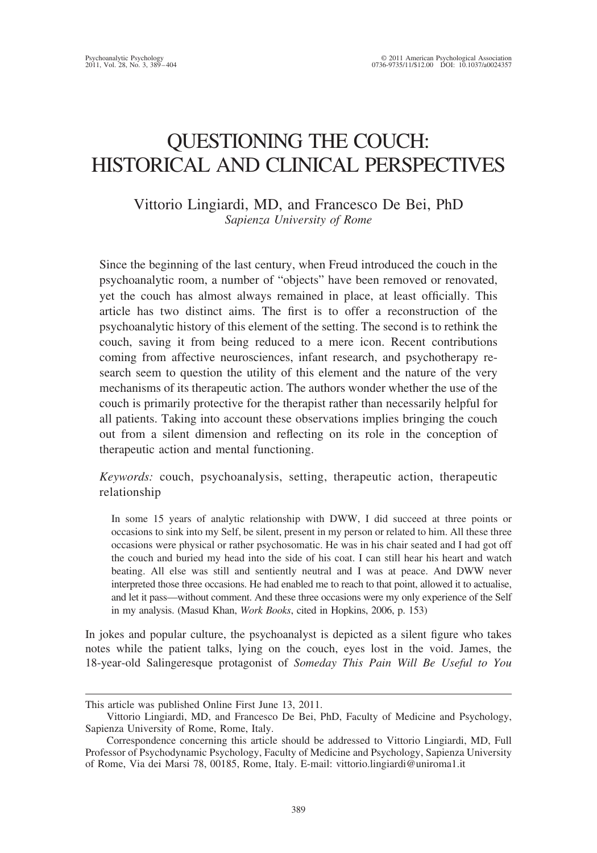# QUESTIONING THE COUCH: HISTORICAL AND CLINICAL PERSPECTIVES

Vittorio Lingiardi, MD, and Francesco De Bei, PhD *Sapienza University of Rome*

Since the beginning of the last century, when Freud introduced the couch in the psychoanalytic room, a number of "objects" have been removed or renovated, yet the couch has almost always remained in place, at least officially. This article has two distinct aims. The first is to offer a reconstruction of the psychoanalytic history of this element of the setting. The second is to rethink the couch, saving it from being reduced to a mere icon. Recent contributions coming from affective neurosciences, infant research, and psychotherapy research seem to question the utility of this element and the nature of the very mechanisms of its therapeutic action. The authors wonder whether the use of the couch is primarily protective for the therapist rather than necessarily helpful for all patients. Taking into account these observations implies bringing the couch out from a silent dimension and reflecting on its role in the conception of therapeutic action and mental functioning.

*Keywords:* couch, psychoanalysis, setting, therapeutic action, therapeutic relationship

In some 15 years of analytic relationship with DWW, I did succeed at three points or occasions to sink into my Self, be silent, present in my person or related to him. All these three occasions were physical or rather psychosomatic. He was in his chair seated and I had got off the couch and buried my head into the side of his coat. I can still hear his heart and watch beating. All else was still and sentiently neutral and I was at peace. And DWW never interpreted those three occasions. He had enabled me to reach to that point, allowed it to actualise, and let it pass—without comment. And these three occasions were my only experience of the Self in my analysis. (Masud Khan, *Work Books*, cited in Hopkins, 2006, p. 153)

In jokes and popular culture, the psychoanalyst is depicted as a silent figure who takes notes while the patient talks, lying on the couch, eyes lost in the void. James, the 18-year-old Salingeresque protagonist of *Someday This Pain Will Be Useful to You*

This article was published Online First June 13, 2011.

Vittorio Lingiardi, MD, and Francesco De Bei, PhD, Faculty of Medicine and Psychology, Sapienza University of Rome, Rome, Italy.

Correspondence concerning this article should be addressed to Vittorio Lingiardi, MD, Full Professor of Psychodynamic Psychology, Faculty of Medicine and Psychology, Sapienza University of Rome, Via dei Marsi 78, 00185, Rome, Italy. E-mail: vittorio.lingiardi@uniroma1.it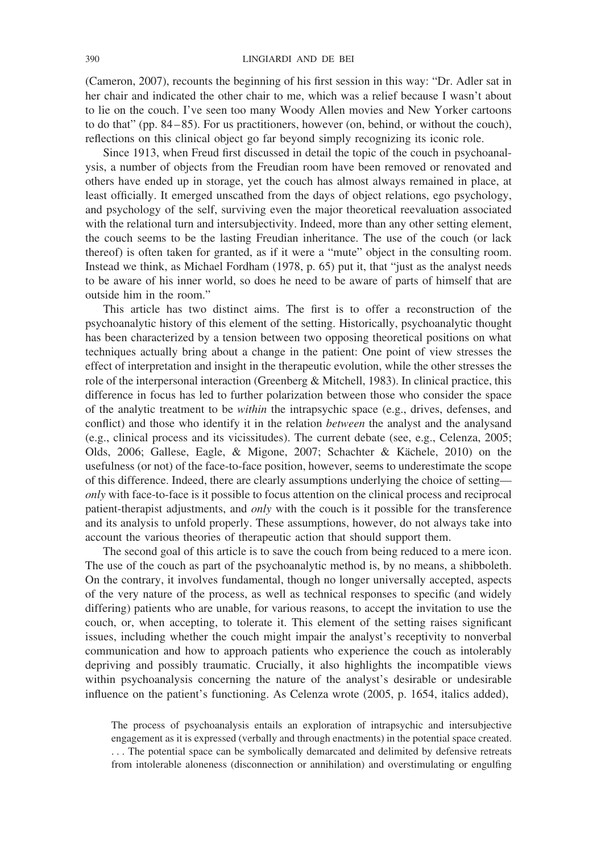(Cameron, 2007), recounts the beginning of his first session in this way: "Dr. Adler sat in her chair and indicated the other chair to me, which was a relief because I wasn't about to lie on the couch. I've seen too many Woody Allen movies and New Yorker cartoons to do that" (pp. 84–85). For us practitioners, however (on, behind, or without the couch), reflections on this clinical object go far beyond simply recognizing its iconic role.

Since 1913, when Freud first discussed in detail the topic of the couch in psychoanalysis, a number of objects from the Freudian room have been removed or renovated and others have ended up in storage, yet the couch has almost always remained in place, at least officially. It emerged unscathed from the days of object relations, ego psychology, and psychology of the self, surviving even the major theoretical reevaluation associated with the relational turn and intersubjectivity. Indeed, more than any other setting element, the couch seems to be the lasting Freudian inheritance. The use of the couch (or lack thereof) is often taken for granted, as if it were a "mute" object in the consulting room. Instead we think, as Michael Fordham (1978, p. 65) put it, that "just as the analyst needs to be aware of his inner world, so does he need to be aware of parts of himself that are outside him in the room."

This article has two distinct aims. The first is to offer a reconstruction of the psychoanalytic history of this element of the setting. Historically, psychoanalytic thought has been characterized by a tension between two opposing theoretical positions on what techniques actually bring about a change in the patient: One point of view stresses the effect of interpretation and insight in the therapeutic evolution, while the other stresses the role of the interpersonal interaction (Greenberg & Mitchell, 1983). In clinical practice, this difference in focus has led to further polarization between those who consider the space of the analytic treatment to be *within* the intrapsychic space (e.g., drives, defenses, and conflict) and those who identify it in the relation *between* the analyst and the analysand (e.g., clinical process and its vicissitudes). The current debate (see, e.g., Celenza, 2005; Olds, 2006; Gallese, Eagle, & Migone, 2007; Schachter & Kächele, 2010) on the usefulness (or not) of the face-to-face position, however, seems to underestimate the scope of this difference. Indeed, there are clearly assumptions underlying the choice of setting *only* with face-to-face is it possible to focus attention on the clinical process and reciprocal patient-therapist adjustments, and *only* with the couch is it possible for the transference and its analysis to unfold properly. These assumptions, however, do not always take into account the various theories of therapeutic action that should support them.

The second goal of this article is to save the couch from being reduced to a mere icon. The use of the couch as part of the psychoanalytic method is, by no means, a shibboleth. On the contrary, it involves fundamental, though no longer universally accepted, aspects of the very nature of the process, as well as technical responses to specific (and widely differing) patients who are unable, for various reasons, to accept the invitation to use the couch, or, when accepting, to tolerate it. This element of the setting raises significant issues, including whether the couch might impair the analyst's receptivity to nonverbal communication and how to approach patients who experience the couch as intolerably depriving and possibly traumatic. Crucially, it also highlights the incompatible views within psychoanalysis concerning the nature of the analyst's desirable or undesirable influence on the patient's functioning. As Celenza wrote (2005, p. 1654, italics added),

The process of psychoanalysis entails an exploration of intrapsychic and intersubjective engagement as it is expressed (verbally and through enactments) in the potential space created. . . . The potential space can be symbolically demarcated and delimited by defensive retreats from intolerable aloneness (disconnection or annihilation) and overstimulating or engulfing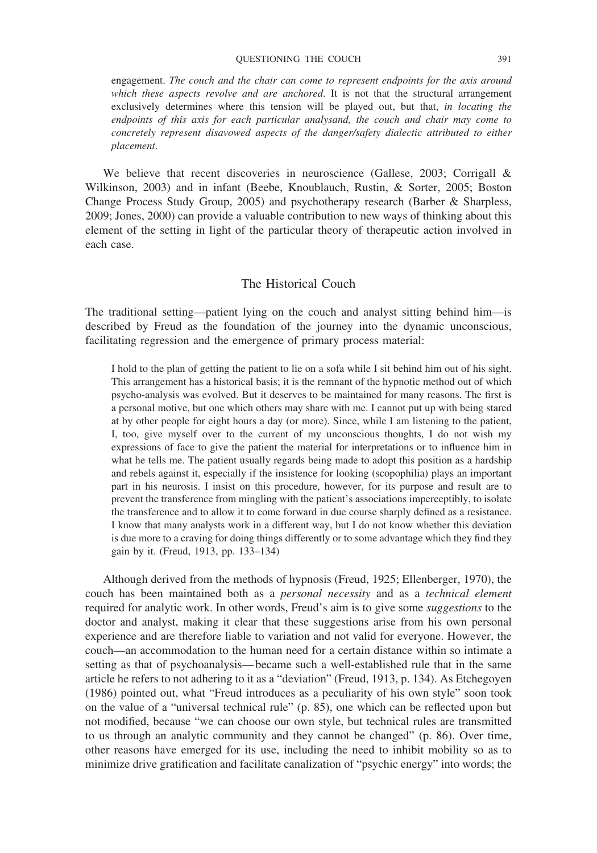#### QUESTIONING THE COUCH 391

engagement. *The couch and the chair can come to represent endpoints for the axis around which these aspects revolve and are anchored*. It is not that the structural arrangement exclusively determines where this tension will be played out, but that, *in locating the endpoints of this axis for each particular analysand, the couch and chair may come to concretely represent disavowed aspects of the danger/safety dialectic attributed to either placement*.

We believe that recent discoveries in neuroscience (Gallese, 2003; Corrigall & Wilkinson, 2003) and in infant (Beebe, Knoublauch, Rustin, & Sorter, 2005; Boston Change Process Study Group, 2005) and psychotherapy research (Barber & Sharpless, 2009; Jones, 2000) can provide a valuable contribution to new ways of thinking about this element of the setting in light of the particular theory of therapeutic action involved in each case.

# The Historical Couch

The traditional setting—patient lying on the couch and analyst sitting behind him—is described by Freud as the foundation of the journey into the dynamic unconscious, facilitating regression and the emergence of primary process material:

I hold to the plan of getting the patient to lie on a sofa while I sit behind him out of his sight. This arrangement has a historical basis; it is the remnant of the hypnotic method out of which psycho-analysis was evolved. But it deserves to be maintained for many reasons. The first is a personal motive, but one which others may share with me. I cannot put up with being stared at by other people for eight hours a day (or more). Since, while I am listening to the patient, I, too, give myself over to the current of my unconscious thoughts, I do not wish my expressions of face to give the patient the material for interpretations or to influence him in what he tells me. The patient usually regards being made to adopt this position as a hardship and rebels against it, especially if the insistence for looking (scopophilia) plays an important part in his neurosis. I insist on this procedure, however, for its purpose and result are to prevent the transference from mingling with the patient's associations imperceptibly, to isolate the transference and to allow it to come forward in due course sharply defined as a resistance. I know that many analysts work in a different way, but I do not know whether this deviation is due more to a craving for doing things differently or to some advantage which they find they gain by it. (Freud, 1913, pp. 133–134)

Although derived from the methods of hypnosis (Freud, 1925; Ellenberger, 1970), the couch has been maintained both as a *personal necessity* and as a *technical element* required for analytic work. In other words, Freud's aim is to give some *suggestions* to the doctor and analyst, making it clear that these suggestions arise from his own personal experience and are therefore liable to variation and not valid for everyone. However, the couch—an accommodation to the human need for a certain distance within so intimate a setting as that of psychoanalysis—became such a well-established rule that in the same article he refers to not adhering to it as a "deviation" (Freud, 1913, p. 134). As Etchegoyen (1986) pointed out, what "Freud introduces as a peculiarity of his own style" soon took on the value of a "universal technical rule" (p. 85), one which can be reflected upon but not modified, because "we can choose our own style, but technical rules are transmitted to us through an analytic community and they cannot be changed" (p. 86). Over time, other reasons have emerged for its use, including the need to inhibit mobility so as to minimize drive gratification and facilitate canalization of "psychic energy" into words; the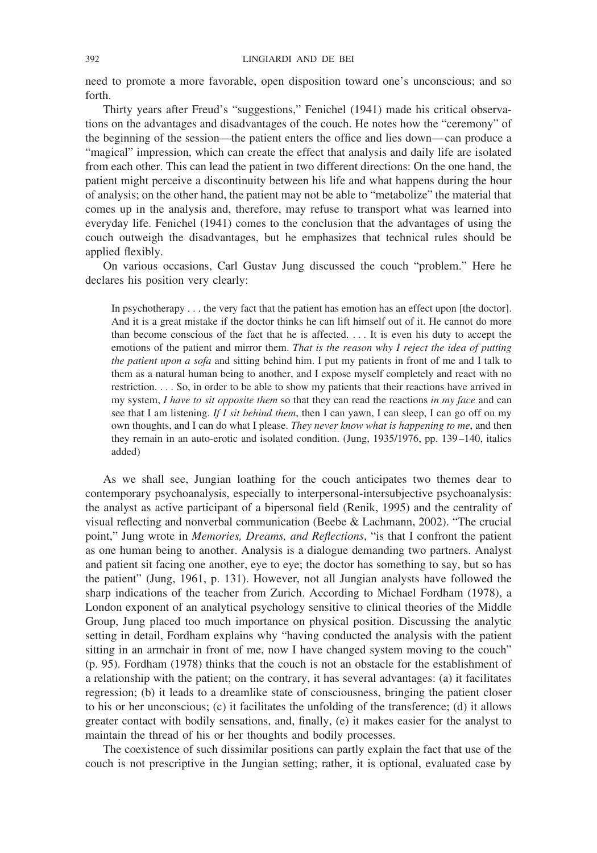need to promote a more favorable, open disposition toward one's unconscious; and so forth.

Thirty years after Freud's "suggestions," Fenichel (1941) made his critical observations on the advantages and disadvantages of the couch. He notes how the "ceremony" of the beginning of the session—the patient enters the office and lies down—can produce a "magical" impression, which can create the effect that analysis and daily life are isolated from each other. This can lead the patient in two different directions: On the one hand, the patient might perceive a discontinuity between his life and what happens during the hour of analysis; on the other hand, the patient may not be able to "metabolize" the material that comes up in the analysis and, therefore, may refuse to transport what was learned into everyday life. Fenichel (1941) comes to the conclusion that the advantages of using the couch outweigh the disadvantages, but he emphasizes that technical rules should be applied flexibly.

On various occasions, Carl Gustav Jung discussed the couch "problem." Here he declares his position very clearly:

In psychotherapy . . . the very fact that the patient has emotion has an effect upon [the doctor]. And it is a great mistake if the doctor thinks he can lift himself out of it. He cannot do more than become conscious of the fact that he is affected. . . . It is even his duty to accept the emotions of the patient and mirror them. *That is the reason why I reject the idea of putting the patient upon a sofa* and sitting behind him. I put my patients in front of me and I talk to them as a natural human being to another, and I expose myself completely and react with no restriction. . . . So, in order to be able to show my patients that their reactions have arrived in my system, *I have to sit opposite them* so that they can read the reactions *in my face* and can see that I am listening. *If I sit behind them*, then I can yawn, I can sleep, I can go off on my own thoughts, and I can do what I please. *They never know what is happening to me*, and then they remain in an auto-erotic and isolated condition. (Jung, 1935/1976, pp. 139–140, italics added)

As we shall see, Jungian loathing for the couch anticipates two themes dear to contemporary psychoanalysis, especially to interpersonal-intersubjective psychoanalysis: the analyst as active participant of a bipersonal field (Renik, 1995) and the centrality of visual reflecting and nonverbal communication (Beebe & Lachmann, 2002). "The crucial point," Jung wrote in *Memories, Dreams, and Reflections*, "is that I confront the patient as one human being to another. Analysis is a dialogue demanding two partners. Analyst and patient sit facing one another, eye to eye; the doctor has something to say, but so has the patient" (Jung, 1961, p. 131). However, not all Jungian analysts have followed the sharp indications of the teacher from Zurich. According to Michael Fordham (1978), a London exponent of an analytical psychology sensitive to clinical theories of the Middle Group, Jung placed too much importance on physical position. Discussing the analytic setting in detail, Fordham explains why "having conducted the analysis with the patient sitting in an armchair in front of me, now I have changed system moving to the couch" (p. 95). Fordham (1978) thinks that the couch is not an obstacle for the establishment of a relationship with the patient; on the contrary, it has several advantages: (a) it facilitates regression; (b) it leads to a dreamlike state of consciousness, bringing the patient closer to his or her unconscious; (c) it facilitates the unfolding of the transference; (d) it allows greater contact with bodily sensations, and, finally, (e) it makes easier for the analyst to maintain the thread of his or her thoughts and bodily processes.

The coexistence of such dissimilar positions can partly explain the fact that use of the couch is not prescriptive in the Jungian setting; rather, it is optional, evaluated case by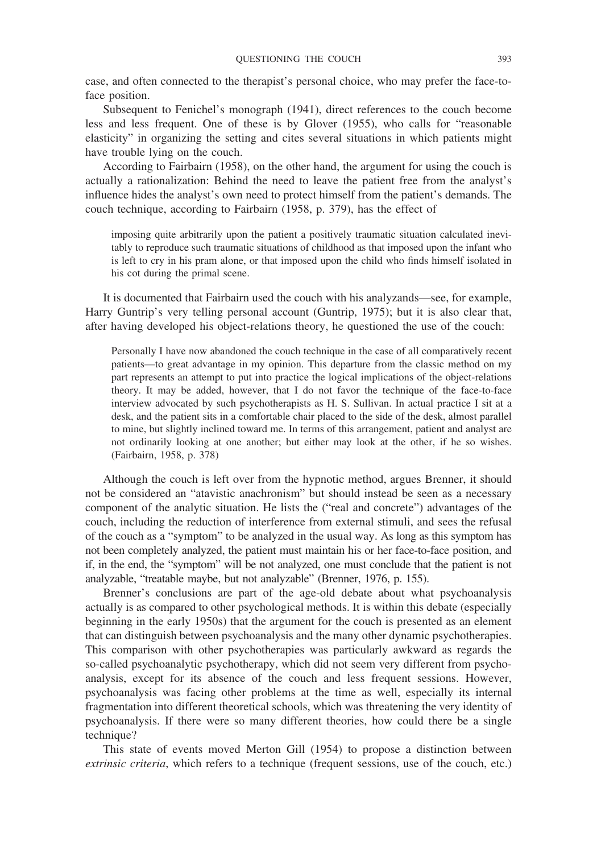case, and often connected to the therapist's personal choice, who may prefer the face-toface position.

Subsequent to Fenichel's monograph (1941), direct references to the couch become less and less frequent. One of these is by Glover (1955), who calls for "reasonable elasticity" in organizing the setting and cites several situations in which patients might have trouble lying on the couch.

According to Fairbairn (1958), on the other hand, the argument for using the couch is actually a rationalization: Behind the need to leave the patient free from the analyst's influence hides the analyst's own need to protect himself from the patient's demands. The couch technique, according to Fairbairn (1958, p. 379), has the effect of

imposing quite arbitrarily upon the patient a positively traumatic situation calculated inevitably to reproduce such traumatic situations of childhood as that imposed upon the infant who is left to cry in his pram alone, or that imposed upon the child who finds himself isolated in his cot during the primal scene.

It is documented that Fairbairn used the couch with his analyzands—see, for example, Harry Guntrip's very telling personal account (Guntrip, 1975); but it is also clear that, after having developed his object-relations theory, he questioned the use of the couch:

Personally I have now abandoned the couch technique in the case of all comparatively recent patients—to great advantage in my opinion. This departure from the classic method on my part represents an attempt to put into practice the logical implications of the object-relations theory. It may be added, however, that I do not favor the technique of the face-to-face interview advocated by such psychotherapists as H. S. Sullivan. In actual practice I sit at a desk, and the patient sits in a comfortable chair placed to the side of the desk, almost parallel to mine, but slightly inclined toward me. In terms of this arrangement, patient and analyst are not ordinarily looking at one another; but either may look at the other, if he so wishes. (Fairbairn, 1958, p. 378)

Although the couch is left over from the hypnotic method, argues Brenner, it should not be considered an "atavistic anachronism" but should instead be seen as a necessary component of the analytic situation. He lists the ("real and concrete") advantages of the couch, including the reduction of interference from external stimuli, and sees the refusal of the couch as a "symptom" to be analyzed in the usual way. As long as this symptom has not been completely analyzed, the patient must maintain his or her face-to-face position, and if, in the end, the "symptom" will be not analyzed, one must conclude that the patient is not analyzable, "treatable maybe, but not analyzable" (Brenner, 1976, p. 155).

Brenner's conclusions are part of the age-old debate about what psychoanalysis actually is as compared to other psychological methods. It is within this debate (especially beginning in the early 1950s) that the argument for the couch is presented as an element that can distinguish between psychoanalysis and the many other dynamic psychotherapies. This comparison with other psychotherapies was particularly awkward as regards the so-called psychoanalytic psychotherapy, which did not seem very different from psychoanalysis, except for its absence of the couch and less frequent sessions. However, psychoanalysis was facing other problems at the time as well, especially its internal fragmentation into different theoretical schools, which was threatening the very identity of psychoanalysis. If there were so many different theories, how could there be a single technique?

This state of events moved Merton Gill (1954) to propose a distinction between *extrinsic criteria*, which refers to a technique (frequent sessions, use of the couch, etc.)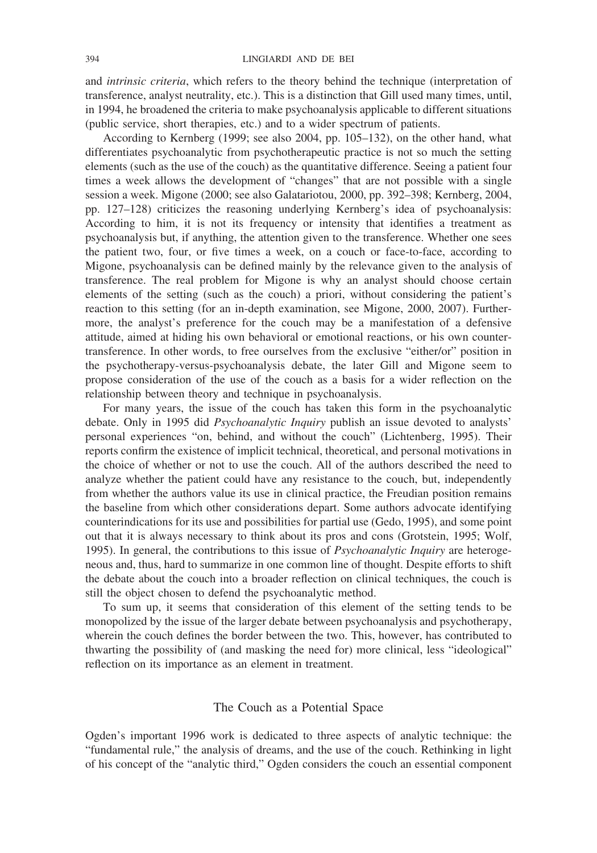and *intrinsic criteria*, which refers to the theory behind the technique (interpretation of transference, analyst neutrality, etc.). This is a distinction that Gill used many times, until, in 1994, he broadened the criteria to make psychoanalysis applicable to different situations (public service, short therapies, etc.) and to a wider spectrum of patients.

According to Kernberg (1999; see also 2004, pp. 105–132), on the other hand, what differentiates psychoanalytic from psychotherapeutic practice is not so much the setting elements (such as the use of the couch) as the quantitative difference. Seeing a patient four times a week allows the development of "changes" that are not possible with a single session a week. Migone (2000; see also Galatariotou, 2000, pp. 392–398; Kernberg, 2004, pp. 127–128) criticizes the reasoning underlying Kernberg's idea of psychoanalysis: According to him, it is not its frequency or intensity that identifies a treatment as psychoanalysis but, if anything, the attention given to the transference. Whether one sees the patient two, four, or five times a week, on a couch or face-to-face, according to Migone, psychoanalysis can be defined mainly by the relevance given to the analysis of transference. The real problem for Migone is why an analyst should choose certain elements of the setting (such as the couch) a priori, without considering the patient's reaction to this setting (for an in-depth examination, see Migone, 2000, 2007). Furthermore, the analyst's preference for the couch may be a manifestation of a defensive attitude, aimed at hiding his own behavioral or emotional reactions, or his own countertransference. In other words, to free ourselves from the exclusive "either/or" position in the psychotherapy-versus-psychoanalysis debate, the later Gill and Migone seem to propose consideration of the use of the couch as a basis for a wider reflection on the relationship between theory and technique in psychoanalysis.

For many years, the issue of the couch has taken this form in the psychoanalytic debate. Only in 1995 did *Psychoanalytic Inquiry* publish an issue devoted to analysts' personal experiences "on, behind, and without the couch" (Lichtenberg, 1995). Their reports confirm the existence of implicit technical, theoretical, and personal motivations in the choice of whether or not to use the couch. All of the authors described the need to analyze whether the patient could have any resistance to the couch, but, independently from whether the authors value its use in clinical practice, the Freudian position remains the baseline from which other considerations depart. Some authors advocate identifying counterindications for its use and possibilities for partial use (Gedo, 1995), and some point out that it is always necessary to think about its pros and cons (Grotstein, 1995; Wolf, 1995). In general, the contributions to this issue of *Psychoanalytic Inquiry* are heterogeneous and, thus, hard to summarize in one common line of thought. Despite efforts to shift the debate about the couch into a broader reflection on clinical techniques, the couch is still the object chosen to defend the psychoanalytic method.

To sum up, it seems that consideration of this element of the setting tends to be monopolized by the issue of the larger debate between psychoanalysis and psychotherapy, wherein the couch defines the border between the two. This, however, has contributed to thwarting the possibility of (and masking the need for) more clinical, less "ideological" reflection on its importance as an element in treatment.

#### The Couch as a Potential Space

Ogden's important 1996 work is dedicated to three aspects of analytic technique: the "fundamental rule," the analysis of dreams, and the use of the couch. Rethinking in light of his concept of the "analytic third," Ogden considers the couch an essential component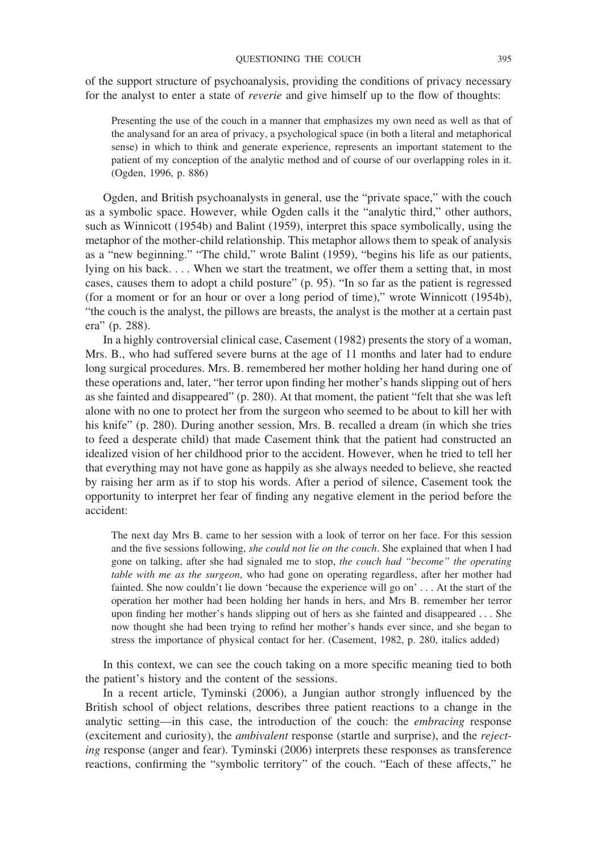of the support structure of psychoanalysis, providing the conditions of privacy necessary for the analyst to enter a state of *reverie* and give himself up to the flow of thoughts:

Presenting the use of the couch in a manner that emphasizes my own need as well as that of the analysand for an area of privacy, a psychological space (in both a literal and metaphorical sense) in which to think and generate experience, represents an important statement to the patient of my conception of the analytic method and of course of our overlapping roles in it. (Ogden, 1996, p. 886)

Ogden, and British psychoanalysts in general, use the "private space," with the couch as a symbolic space. However, while Ogden calls it the "analytic third," other authors, such as Winnicott (1954b) and Balint (1959), interpret this space symbolically, using the metaphor of the mother-child relationship. This metaphor allows them to speak of analysis as a "new beginning." "The child," wrote Balint (1959), "begins his life as our patients, lying on his back. . . . When we start the treatment, we offer them a setting that, in most cases, causes them to adopt a child posture" (p. 95). "In so far as the patient is regressed (for a moment or for an hour or over a long period of time)," wrote Winnicott (1954b), "the couch is the analyst, the pillows are breasts, the analyst is the mother at a certain past era" (p. 288).

In a highly controversial clinical case, Casement (1982) presents the story of a woman, Mrs. B., who had suffered severe burns at the age of 11 months and later had to endure long surgical procedures. Mrs. B. remembered her mother holding her hand during one of these operations and, later, "her terror upon finding her mother's hands slipping out of hers as she fainted and disappeared" (p. 280). At that moment, the patient "felt that she was left alone with no one to protect her from the surgeon who seemed to be about to kill her with his knife" (p. 280). During another session, Mrs. B. recalled a dream (in which she tries to feed a desperate child) that made Casement think that the patient had constructed an idealized vision of her childhood prior to the accident. However, when he tried to tell her that everything may not have gone as happily as she always needed to believe, she reacted by raising her arm as if to stop his words. After a period of silence, Casement took the opportunity to interpret her fear of finding any negative element in the period before the accident:

The next day Mrs B. came to her session with a look of terror on her face. For this session and the five sessions following, *she could not lie on the couch*. She explained that when I had gone on talking, after she had signaled me to stop, *the couch had "become" the operating table with me as the surgeon*, who had gone on operating regardless, after her mother had fainted. She now couldn't lie down 'because the experience will go on' . . . At the start of the operation her mother had been holding her hands in hers, and Mrs B. remember her terror upon finding her mother's hands slipping out of hers as she fainted and disappeared . . . She now thought she had been trying to refind her mother's hands ever since, and she began to stress the importance of physical contact for her. (Casement, 1982, p. 280, italics added)

In this context, we can see the couch taking on a more specific meaning tied to both the patient's history and the content of the sessions.

In a recent article, Tyminski (2006), a Jungian author strongly influenced by the British school of object relations, describes three patient reactions to a change in the analytic setting—in this case, the introduction of the couch: the *embracing* response (excitement and curiosity), the *ambivalent* response (startle and surprise), and the *rejecting* response (anger and fear). Tyminski (2006) interprets these responses as transference reactions, confirming the "symbolic territory" of the couch. "Each of these affects," he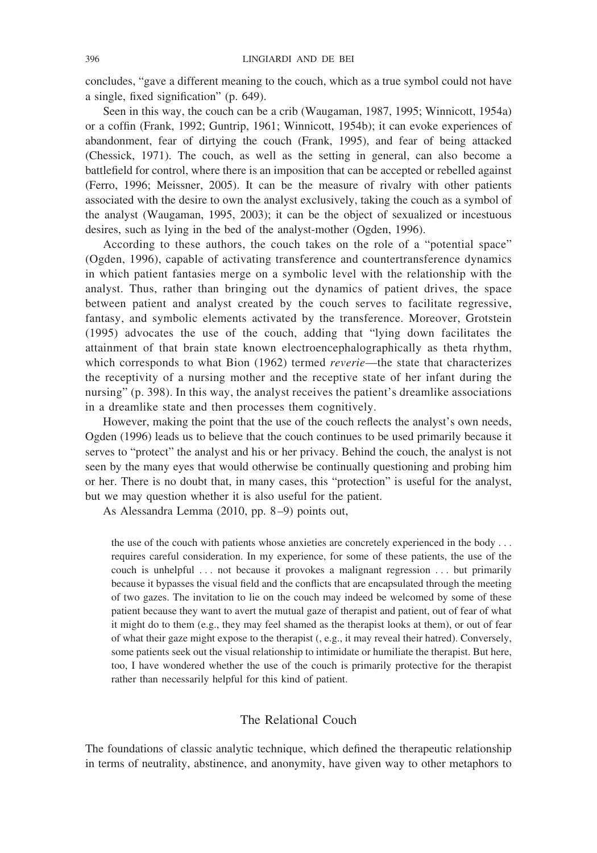concludes, "gave a different meaning to the couch, which as a true symbol could not have a single, fixed signification" (p. 649).

Seen in this way, the couch can be a crib (Waugaman, 1987, 1995; Winnicott, 1954a) or a coffin (Frank, 1992; Guntrip, 1961; Winnicott, 1954b); it can evoke experiences of abandonment, fear of dirtying the couch (Frank, 1995), and fear of being attacked (Chessick, 1971). The couch, as well as the setting in general, can also become a battlefield for control, where there is an imposition that can be accepted or rebelled against (Ferro, 1996; Meissner, 2005). It can be the measure of rivalry with other patients associated with the desire to own the analyst exclusively, taking the couch as a symbol of the analyst (Waugaman, 1995, 2003); it can be the object of sexualized or incestuous desires, such as lying in the bed of the analyst-mother (Ogden, 1996).

According to these authors, the couch takes on the role of a "potential space" (Ogden, 1996), capable of activating transference and countertransference dynamics in which patient fantasies merge on a symbolic level with the relationship with the analyst. Thus, rather than bringing out the dynamics of patient drives, the space between patient and analyst created by the couch serves to facilitate regressive, fantasy, and symbolic elements activated by the transference. Moreover, Grotstein (1995) advocates the use of the couch, adding that "lying down facilitates the attainment of that brain state known electroencephalographically as theta rhythm, which corresponds to what Bion (1962) termed *reverie*—the state that characterizes the receptivity of a nursing mother and the receptive state of her infant during the nursing" (p. 398). In this way, the analyst receives the patient's dreamlike associations in a dreamlike state and then processes them cognitively.

However, making the point that the use of the couch reflects the analyst's own needs, Ogden (1996) leads us to believe that the couch continues to be used primarily because it serves to "protect" the analyst and his or her privacy. Behind the couch, the analyst is not seen by the many eyes that would otherwise be continually questioning and probing him or her. There is no doubt that, in many cases, this "protection" is useful for the analyst, but we may question whether it is also useful for the patient.

As Alessandra Lemma (2010, pp. 8–9) points out,

the use of the couch with patients whose anxieties are concretely experienced in the body . . . requires careful consideration. In my experience, for some of these patients, the use of the couch is unhelpful ... not because it provokes a malignant regression ... but primarily because it bypasses the visual field and the conflicts that are encapsulated through the meeting of two gazes. The invitation to lie on the couch may indeed be welcomed by some of these patient because they want to avert the mutual gaze of therapist and patient, out of fear of what it might do to them (e.g., they may feel shamed as the therapist looks at them), or out of fear of what their gaze might expose to the therapist (, e.g., it may reveal their hatred). Conversely, some patients seek out the visual relationship to intimidate or humiliate the therapist. But here, too, I have wondered whether the use of the couch is primarily protective for the therapist rather than necessarily helpful for this kind of patient.

# The Relational Couch

The foundations of classic analytic technique, which defined the therapeutic relationship in terms of neutrality, abstinence, and anonymity, have given way to other metaphors to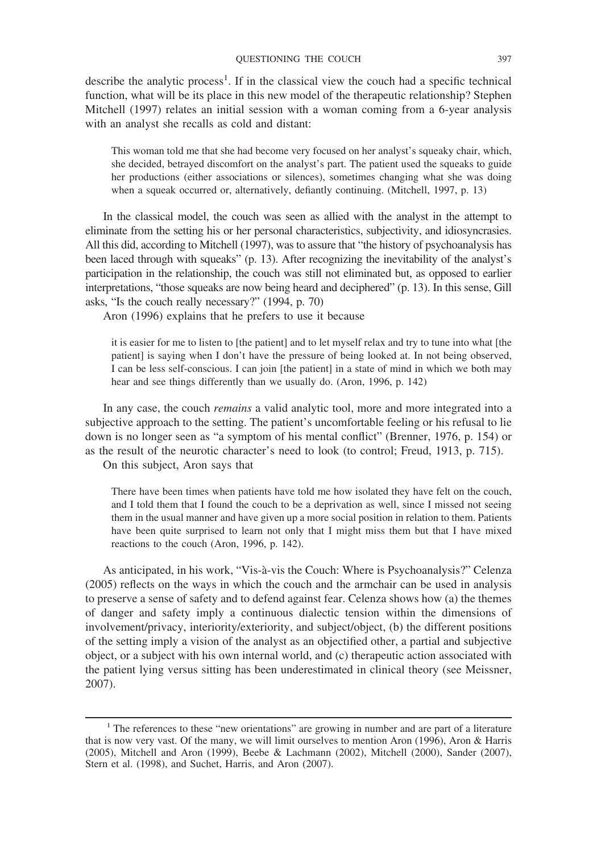describe the analytic process<sup>1</sup>. If in the classical view the couch had a specific technical function, what will be its place in this new model of the therapeutic relationship? Stephen Mitchell (1997) relates an initial session with a woman coming from a 6-year analysis with an analyst she recalls as cold and distant:

This woman told me that she had become very focused on her analyst's squeaky chair, which, she decided, betrayed discomfort on the analyst's part. The patient used the squeaks to guide her productions (either associations or silences), sometimes changing what she was doing when a squeak occurred or, alternatively, defiantly continuing. (Mitchell, 1997, p. 13)

In the classical model, the couch was seen as allied with the analyst in the attempt to eliminate from the setting his or her personal characteristics, subjectivity, and idiosyncrasies. All this did, according to Mitchell (1997), was to assure that "the history of psychoanalysis has been laced through with squeaks" (p. 13). After recognizing the inevitability of the analyst's participation in the relationship, the couch was still not eliminated but, as opposed to earlier interpretations, "those squeaks are now being heard and deciphered" (p. 13). In this sense, Gill asks, "Is the couch really necessary?" (1994, p. 70)

Aron (1996) explains that he prefers to use it because

it is easier for me to listen to [the patient] and to let myself relax and try to tune into what [the patient] is saying when I don't have the pressure of being looked at. In not being observed, I can be less self-conscious. I can join [the patient] in a state of mind in which we both may hear and see things differently than we usually do. (Aron, 1996, p. 142)

In any case, the couch *remains* a valid analytic tool, more and more integrated into a subjective approach to the setting. The patient's uncomfortable feeling or his refusal to lie down is no longer seen as "a symptom of his mental conflict" (Brenner, 1976, p. 154) or as the result of the neurotic character's need to look (to control; Freud, 1913, p. 715).

On this subject, Aron says that

There have been times when patients have told me how isolated they have felt on the couch, and I told them that I found the couch to be a deprivation as well, since I missed not seeing them in the usual manner and have given up a more social position in relation to them. Patients have been quite surprised to learn not only that I might miss them but that I have mixed reactions to the couch (Aron, 1996, p. 142).

As anticipated, in his work, "Vis-à-vis the Couch: Where is Psychoanalysis?" Celenza (2005) reflects on the ways in which the couch and the armchair can be used in analysis to preserve a sense of safety and to defend against fear. Celenza shows how (a) the themes of danger and safety imply a continuous dialectic tension within the dimensions of involvement/privacy, interiority/exteriority, and subject/object, (b) the different positions of the setting imply a vision of the analyst as an objectified other, a partial and subjective object, or a subject with his own internal world, and (c) therapeutic action associated with the patient lying versus sitting has been underestimated in clinical theory (see Meissner, 2007).

 $1$ <sup>1</sup> The references to these "new orientations" are growing in number and are part of a literature that is now very vast. Of the many, we will limit ourselves to mention Aron (1996), Aron & Harris (2005), Mitchell and Aron (1999), Beebe & Lachmann (2002), Mitchell (2000), Sander (2007), Stern et al. (1998), and Suchet, Harris, and Aron (2007).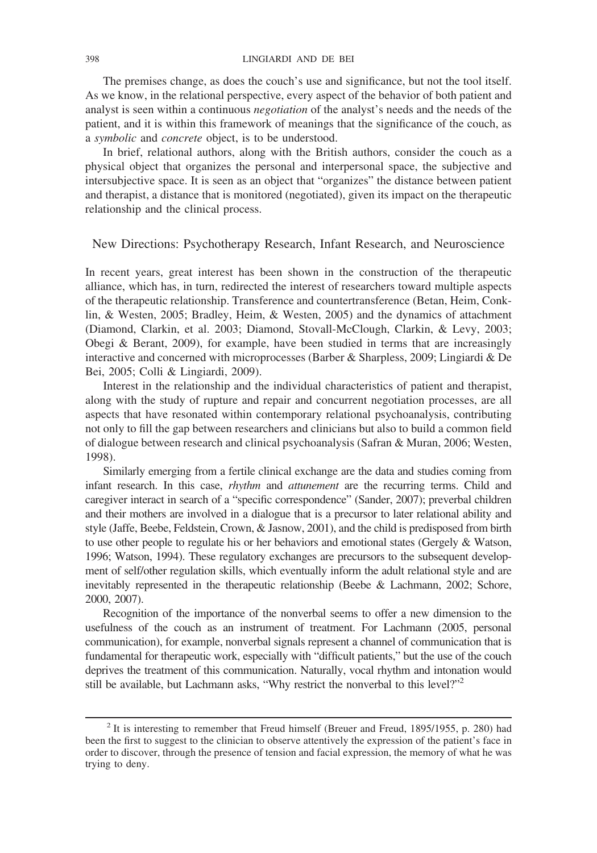The premises change, as does the couch's use and significance, but not the tool itself. As we know, in the relational perspective, every aspect of the behavior of both patient and analyst is seen within a continuous *negotiation* of the analyst's needs and the needs of the patient, and it is within this framework of meanings that the significance of the couch, as a *symbolic* and *concrete* object, is to be understood.

In brief, relational authors, along with the British authors, consider the couch as a physical object that organizes the personal and interpersonal space, the subjective and intersubjective space. It is seen as an object that "organizes" the distance between patient and therapist, a distance that is monitored (negotiated), given its impact on the therapeutic relationship and the clinical process.

# New Directions: Psychotherapy Research, Infant Research, and Neuroscience

In recent years, great interest has been shown in the construction of the therapeutic alliance, which has, in turn, redirected the interest of researchers toward multiple aspects of the therapeutic relationship. Transference and countertransference (Betan, Heim, Conklin, & Westen, 2005; Bradley, Heim, & Westen, 2005) and the dynamics of attachment (Diamond, Clarkin, et al. 2003; Diamond, Stovall-McClough, Clarkin, & Levy, 2003; Obegi & Berant, 2009), for example, have been studied in terms that are increasingly interactive and concerned with microprocesses (Barber & Sharpless, 2009; Lingiardi & De Bei, 2005; Colli & Lingiardi, 2009).

Interest in the relationship and the individual characteristics of patient and therapist, along with the study of rupture and repair and concurrent negotiation processes, are all aspects that have resonated within contemporary relational psychoanalysis, contributing not only to fill the gap between researchers and clinicians but also to build a common field of dialogue between research and clinical psychoanalysis (Safran & Muran, 2006; Westen, 1998).

Similarly emerging from a fertile clinical exchange are the data and studies coming from infant research. In this case, *rhythm* and *attunement* are the recurring terms. Child and caregiver interact in search of a "specific correspondence" (Sander, 2007); preverbal children and their mothers are involved in a dialogue that is a precursor to later relational ability and style (Jaffe, Beebe, Feldstein, Crown, & Jasnow, 2001), and the child is predisposed from birth to use other people to regulate his or her behaviors and emotional states (Gergely & Watson, 1996; Watson, 1994). These regulatory exchanges are precursors to the subsequent development of self/other regulation skills, which eventually inform the adult relational style and are inevitably represented in the therapeutic relationship (Beebe & Lachmann, 2002; Schore, 2000, 2007).

Recognition of the importance of the nonverbal seems to offer a new dimension to the usefulness of the couch as an instrument of treatment. For Lachmann (2005, personal communication), for example, nonverbal signals represent a channel of communication that is fundamental for therapeutic work, especially with "difficult patients," but the use of the couch deprives the treatment of this communication. Naturally, vocal rhythm and intonation would still be available, but Lachmann asks, "Why restrict the nonverbal to this level?"<sup>2</sup>

<sup>&</sup>lt;sup>2</sup> It is interesting to remember that Freud himself (Breuer and Freud, 1895/1955, p. 280) had been the first to suggest to the clinician to observe attentively the expression of the patient's face in order to discover, through the presence of tension and facial expression, the memory of what he was trying to deny.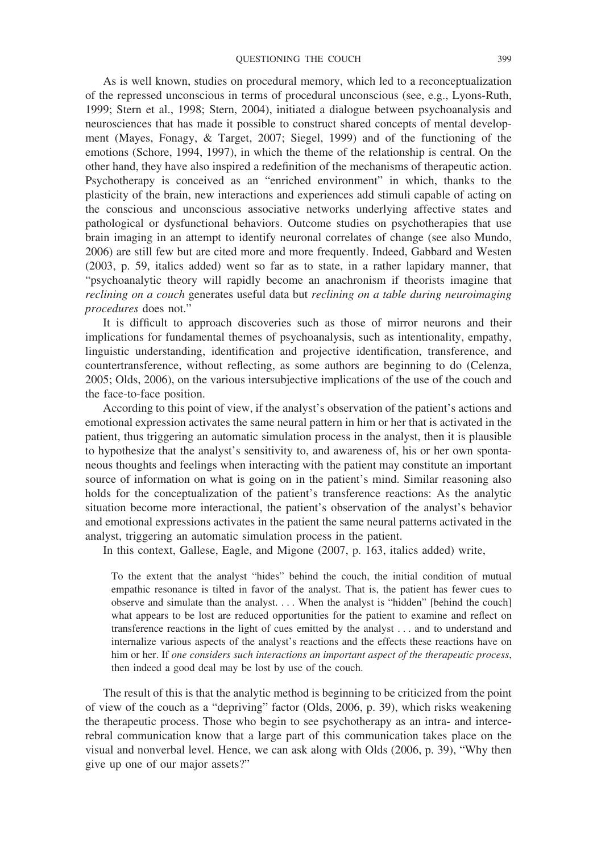As is well known, studies on procedural memory, which led to a reconceptualization of the repressed unconscious in terms of procedural unconscious (see, e.g., Lyons-Ruth, 1999; Stern et al., 1998; Stern, 2004), initiated a dialogue between psychoanalysis and neurosciences that has made it possible to construct shared concepts of mental development (Mayes, Fonagy, & Target, 2007; Siegel, 1999) and of the functioning of the emotions (Schore, 1994, 1997), in which the theme of the relationship is central. On the other hand, they have also inspired a redefinition of the mechanisms of therapeutic action. Psychotherapy is conceived as an "enriched environment" in which, thanks to the plasticity of the brain, new interactions and experiences add stimuli capable of acting on the conscious and unconscious associative networks underlying affective states and pathological or dysfunctional behaviors. Outcome studies on psychotherapies that use brain imaging in an attempt to identify neuronal correlates of change (see also Mundo, 2006) are still few but are cited more and more frequently. Indeed, Gabbard and Westen (2003, p. 59, italics added) went so far as to state, in a rather lapidary manner, that "psychoanalytic theory will rapidly become an anachronism if theorists imagine that *reclining on a couch* generates useful data but *reclining on a table during neuroimaging procedures* does not."

It is difficult to approach discoveries such as those of mirror neurons and their implications for fundamental themes of psychoanalysis, such as intentionality, empathy, linguistic understanding, identification and projective identification, transference, and countertransference, without reflecting, as some authors are beginning to do (Celenza, 2005; Olds, 2006), on the various intersubjective implications of the use of the couch and the face-to-face position.

According to this point of view, if the analyst's observation of the patient's actions and emotional expression activates the same neural pattern in him or her that is activated in the patient, thus triggering an automatic simulation process in the analyst, then it is plausible to hypothesize that the analyst's sensitivity to, and awareness of, his or her own spontaneous thoughts and feelings when interacting with the patient may constitute an important source of information on what is going on in the patient's mind. Similar reasoning also holds for the conceptualization of the patient's transference reactions: As the analytic situation become more interactional, the patient's observation of the analyst's behavior and emotional expressions activates in the patient the same neural patterns activated in the analyst, triggering an automatic simulation process in the patient.

In this context, Gallese, Eagle, and Migone (2007, p. 163, italics added) write,

To the extent that the analyst "hides" behind the couch, the initial condition of mutual empathic resonance is tilted in favor of the analyst. That is, the patient has fewer cues to observe and simulate than the analyst. . . . When the analyst is "hidden" [behind the couch] what appears to be lost are reduced opportunities for the patient to examine and reflect on transference reactions in the light of cues emitted by the analyst . . . and to understand and internalize various aspects of the analyst's reactions and the effects these reactions have on him or her. If *one considers such interactions an important aspect of the therapeutic process*, then indeed a good deal may be lost by use of the couch.

The result of this is that the analytic method is beginning to be criticized from the point of view of the couch as a "depriving" factor (Olds, 2006, p. 39), which risks weakening the therapeutic process. Those who begin to see psychotherapy as an intra- and intercerebral communication know that a large part of this communication takes place on the visual and nonverbal level. Hence, we can ask along with Olds (2006, p. 39), "Why then give up one of our major assets?"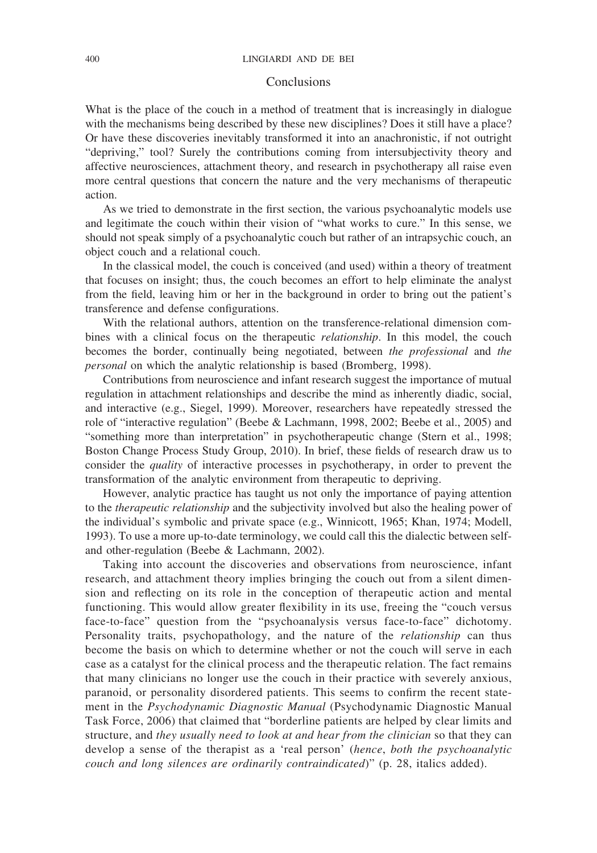#### Conclusions

What is the place of the couch in a method of treatment that is increasingly in dialogue with the mechanisms being described by these new disciplines? Does it still have a place? Or have these discoveries inevitably transformed it into an anachronistic, if not outright "depriving," tool? Surely the contributions coming from intersubjectivity theory and affective neurosciences, attachment theory, and research in psychotherapy all raise even more central questions that concern the nature and the very mechanisms of therapeutic action.

As we tried to demonstrate in the first section, the various psychoanalytic models use and legitimate the couch within their vision of "what works to cure." In this sense, we should not speak simply of a psychoanalytic couch but rather of an intrapsychic couch, an object couch and a relational couch.

In the classical model, the couch is conceived (and used) within a theory of treatment that focuses on insight; thus, the couch becomes an effort to help eliminate the analyst from the field, leaving him or her in the background in order to bring out the patient's transference and defense configurations.

With the relational authors, attention on the transference-relational dimension combines with a clinical focus on the therapeutic *relationship*. In this model, the couch becomes the border, continually being negotiated, between *the professional* and *the personal* on which the analytic relationship is based (Bromberg, 1998).

Contributions from neuroscience and infant research suggest the importance of mutual regulation in attachment relationships and describe the mind as inherently diadic, social, and interactive (e.g., Siegel, 1999). Moreover, researchers have repeatedly stressed the role of "interactive regulation" (Beebe & Lachmann, 1998, 2002; Beebe et al., 2005) and "something more than interpretation" in psychotherapeutic change (Stern et al., 1998; Boston Change Process Study Group, 2010). In brief, these fields of research draw us to consider the *quality* of interactive processes in psychotherapy, in order to prevent the transformation of the analytic environment from therapeutic to depriving.

However, analytic practice has taught us not only the importance of paying attention to the *therapeutic relationship* and the subjectivity involved but also the healing power of the individual's symbolic and private space (e.g., Winnicott, 1965; Khan, 1974; Modell, 1993). To use a more up-to-date terminology, we could call this the dialectic between selfand other-regulation (Beebe & Lachmann, 2002).

Taking into account the discoveries and observations from neuroscience, infant research, and attachment theory implies bringing the couch out from a silent dimension and reflecting on its role in the conception of therapeutic action and mental functioning. This would allow greater flexibility in its use, freeing the "couch versus face-to-face" question from the "psychoanalysis versus face-to-face" dichotomy. Personality traits, psychopathology, and the nature of the *relationship* can thus become the basis on which to determine whether or not the couch will serve in each case as a catalyst for the clinical process and the therapeutic relation. The fact remains that many clinicians no longer use the couch in their practice with severely anxious, paranoid, or personality disordered patients. This seems to confirm the recent statement in the *Psychodynamic Diagnostic Manual* (Psychodynamic Diagnostic Manual Task Force, 2006) that claimed that "borderline patients are helped by clear limits and structure, and *they usually need to look at and hear from the clinician* so that they can develop a sense of the therapist as a 'real person' (*hence*, *both the psychoanalytic couch and long silences are ordinarily contraindicated*)" (p. 28, italics added).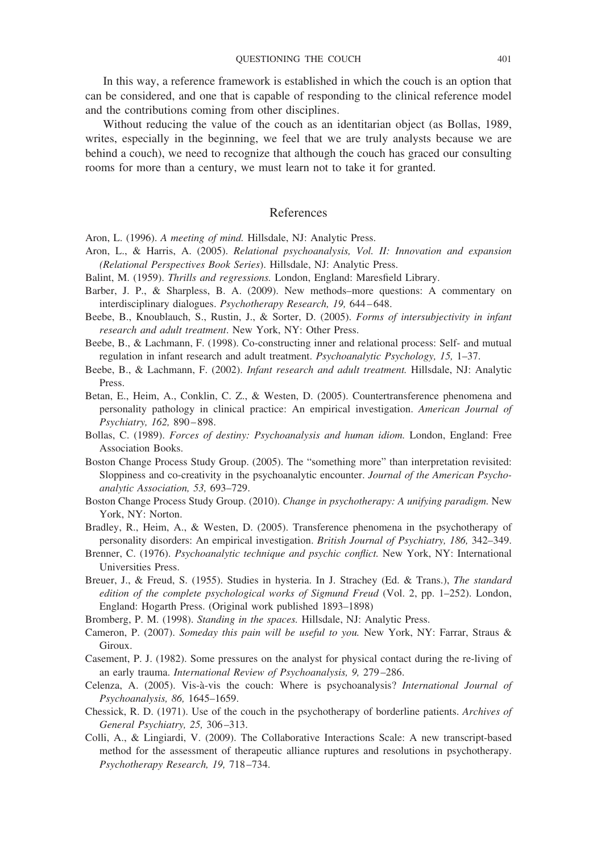In this way, a reference framework is established in which the couch is an option that can be considered, and one that is capable of responding to the clinical reference model and the contributions coming from other disciplines.

Without reducing the value of the couch as an identitarian object (as Bollas, 1989, writes, especially in the beginning, we feel that we are truly analysts because we are behind a couch), we need to recognize that although the couch has graced our consulting rooms for more than a century, we must learn not to take it for granted.

# References

Aron, L. (1996). *A meeting of mind.* Hillsdale, NJ: Analytic Press.

- Aron, L., & Harris, A. (2005). *Relational psychoanalysis, Vol. II: Innovation and expansion (Relational Perspectives Book Series*). Hillsdale, NJ: Analytic Press.
- Balint, M. (1959). *Thrills and regressions.* London, England: Maresfield Library.
- Barber, J. P., & Sharpless, B. A. (2009). New methods–more questions: A commentary on interdisciplinary dialogues. *Psychotherapy Research, 19,* 644–648.
- Beebe, B., Knoublauch, S., Rustin, J., & Sorter, D. (2005). *Forms of intersubjectivity in infant research and adult treatment*. New York, NY: Other Press.
- Beebe, B., & Lachmann, F. (1998). Co-constructing inner and relational process: Self- and mutual regulation in infant research and adult treatment. *Psychoanalytic Psychology, 15,* 1–37.
- Beebe, B., & Lachmann, F. (2002). *Infant research and adult treatment.* Hillsdale, NJ: Analytic Press.
- Betan, E., Heim, A., Conklin, C. Z., & Westen, D. (2005). Countertransference phenomena and personality pathology in clinical practice: An empirical investigation. *American Journal of Psychiatry, 162,* 890–898.
- Bollas, C. (1989). *Forces of destiny: Psychoanalysis and human idiom.* London, England: Free Association Books.
- Boston Change Process Study Group. (2005). The "something more" than interpretation revisited: Sloppiness and co-creativity in the psychoanalytic encounter. *Journal of the American Psychoanalytic Association, 53,* 693–729.
- Boston Change Process Study Group. (2010). *Change in psychotherapy: A unifying paradigm.* New York, NY: Norton.
- Bradley, R., Heim, A., & Westen, D. (2005). Transference phenomena in the psychotherapy of personality disorders: An empirical investigation. *British Journal of Psychiatry, 186,* 342–349.
- Brenner, C. (1976). *Psychoanalytic technique and psychic conflict.* New York, NY: International Universities Press.
- Breuer, J., & Freud, S. (1955). Studies in hysteria. In J. Strachey (Ed. & Trans.), *The standard edition of the complete psychological works of Sigmund Freud* (Vol. 2, pp. 1–252). London, England: Hogarth Press. (Original work published 1893–1898)
- Bromberg, P. M. (1998). *Standing in the spaces.* Hillsdale, NJ: Analytic Press.
- Cameron, P. (2007). *Someday this pain will be useful to you.* New York, NY: Farrar, Straus & Giroux.
- Casement, P. J. (1982). Some pressures on the analyst for physical contact during the re-living of an early trauma. *International Review of Psychoanalysis, 9,* 279–286.
- Celenza, A. (2005). Vis-a`-vis the couch: Where is psychoanalysis? *International Journal of Psychoanalysis, 86,* 1645–1659.
- Chessick, R. D. (1971). Use of the couch in the psychotherapy of borderline patients. *Archives of General Psychiatry, 25,* 306–313.
- Colli, A., & Lingiardi, V. (2009). The Collaborative Interactions Scale: A new transcript-based method for the assessment of therapeutic alliance ruptures and resolutions in psychotherapy. *Psychotherapy Research, 19,* 718–734.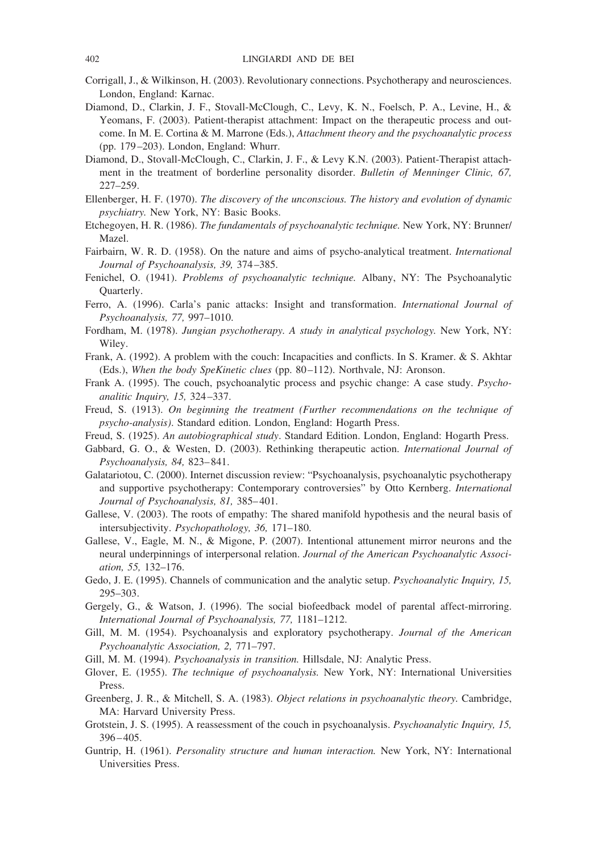- Corrigall, J., & Wilkinson, H. (2003). Revolutionary connections. Psychotherapy and neurosciences. London, England: Karnac.
- Diamond, D., Clarkin, J. F., Stovall-McClough, C., Levy, K. N., Foelsch, P. A., Levine, H., & Yeomans, F. (2003). Patient-therapist attachment: Impact on the therapeutic process and outcome. In M. E. Cortina & M. Marrone (Eds.), *Attachment theory and the psychoanalytic process* (pp. 179–203). London, England: Whurr.
- Diamond, D., Stovall-McClough, C., Clarkin, J. F., & Levy K.N. (2003). Patient-Therapist attachment in the treatment of borderline personality disorder. *Bulletin of Menninger Clinic, 67,* 227–259.
- Ellenberger, H. F. (1970). *The discovery of the unconscious. The history and evolution of dynamic psychiatry.* New York, NY: Basic Books.
- Etchegoyen, H. R. (1986). *The fundamentals of psychoanalytic technique.* New York, NY: Brunner/ Mazel.
- Fairbairn, W. R. D. (1958). On the nature and aims of psycho-analytical treatment. *International Journal of Psychoanalysis, 39,* 374–385.
- Fenichel, O. (1941). *Problems of psychoanalytic technique.* Albany, NY: The Psychoanalytic Quarterly.
- Ferro, A. (1996). Carla's panic attacks: Insight and transformation. *International Journal of Psychoanalysis, 77,* 997–1010.
- Fordham, M. (1978). *Jungian psychotherapy. A study in analytical psychology.* New York, NY: Wiley.
- Frank, A. (1992). A problem with the couch: Incapacities and conflicts. In S. Kramer. & S. Akhtar (Eds.), *When the body SpeKinetic clues* (pp. 80–112). Northvale, NJ: Aronson.
- Frank A. (1995). The couch, psychoanalytic process and psychic change: A case study. *Psychoanalitic Inquiry, 15,* 324–337.
- Freud, S. (1913). *On beginning the treatment (Further recommendations on the technique of psycho-analysis)*. Standard edition. London, England: Hogarth Press.
- Freud, S. (1925). *An autobiographical study*. Standard Edition. London, England: Hogarth Press.
- Gabbard, G. O., & Westen, D. (2003). Rethinking therapeutic action. *International Journal of Psychoanalysis, 84,* 823–841.
- Galatariotou, C. (2000). Internet discussion review: "Psychoanalysis, psychoanalytic psychotherapy and supportive psychotherapy: Contemporary controversies" by Otto Kernberg. *International Journal of Psychoanalysis, 81,* 385–401.
- Gallese, V. (2003). The roots of empathy: The shared manifold hypothesis and the neural basis of intersubjectivity. *Psychopathology, 36,* 171–180.
- Gallese, V., Eagle, M. N., & Migone, P. (2007). Intentional attunement mirror neurons and the neural underpinnings of interpersonal relation. *Journal of the American Psychoanalytic Association, 55,* 132–176.
- Gedo, J. E. (1995). Channels of communication and the analytic setup. *Psychoanalytic Inquiry, 15,* 295–303.
- Gergely, G., & Watson, J. (1996). The social biofeedback model of parental affect-mirroring. *International Journal of Psychoanalysis, 77,* 1181–1212.
- Gill, M. M. (1954). Psychoanalysis and exploratory psychotherapy. *Journal of the American Psychoanalytic Association, 2,* 771–797.
- Gill, M. M. (1994). *Psychoanalysis in transition.* Hillsdale, NJ: Analytic Press.
- Glover, E. (1955). *The technique of psychoanalysis.* New York, NY: International Universities Press.
- Greenberg, J. R., & Mitchell, S. A. (1983). *Object relations in psychoanalytic theory.* Cambridge, MA: Harvard University Press.
- Grotstein, J. S. (1995). A reassessment of the couch in psychoanalysis. *Psychoanalytic Inquiry, 15,* 396–405.
- Guntrip, H. (1961). *Personality structure and human interaction.* New York, NY: International Universities Press.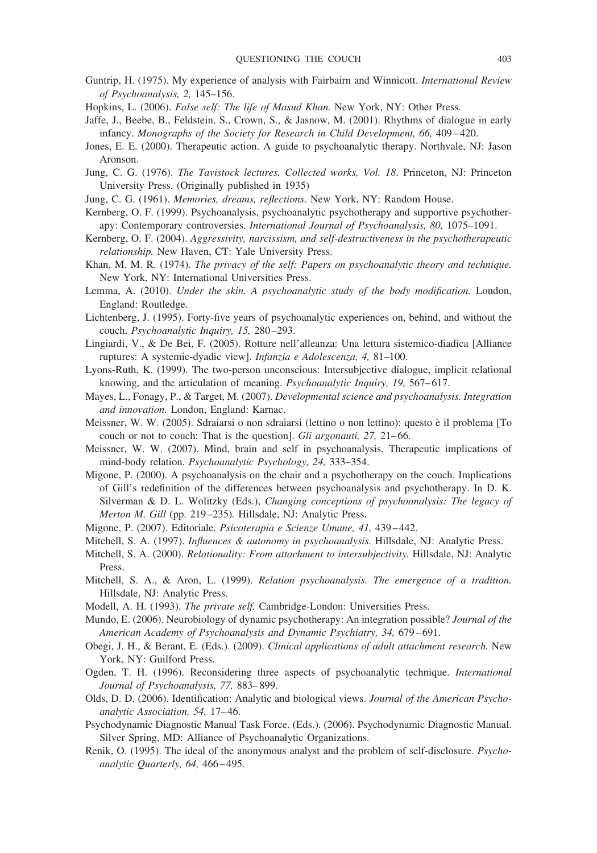- Guntrip, H. (1975). My experience of analysis with Fairbairn and Winnicott. *International Review of Psychoanalysis, 2,* 145–156.
- Hopkins, L. (2006). *False self: The life of Masud Khan.* New York, NY: Other Press.
- Jaffe, J., Beebe, B., Feldstein, S., Crown, S., & Jasnow, M. (2001). Rhythms of dialogue in early infancy. *Monographs of the Society for Research in Child Development, 66,* 409–420.
- Jones, E. E. (2000). Therapeutic action. A guide to psychoanalytic therapy. Northvale, NJ: Jason Aronson.
- Jung, C. G. (1976). *The Tavistock lectures. Collected works, Vol. 18*. Princeton, NJ: Princeton University Press. (Originally published in 1935)
- Jung, C. G. (1961). *Memories, dreams, reflections*. New York, NY: Random House.
- Kernberg, O. F. (1999). Psychoanalysis, psychoanalytic psychotherapy and supportive psychotherapy: Contemporary controversies. *International Journal of Psychoanalysis, 80,* 1075–1091.
- Kernberg, O. F. (2004). *Aggressivity, narcissism, and self-destructiveness in the psychotherapeutic relationship.* New Haven, CT: Yale University Press.
- Khan, M. M. R. (1974). *The privacy of the self: Papers on psychoanalytic theory and technique.* New York, NY: International Universities Press.
- Lemma, A. (2010). *Under the skin. A psychoanalytic study of the body modification.* London, England: Routledge.
- Lichtenberg, J. (1995). Forty-five years of psychoanalytic experiences on, behind, and without the couch. *Psychoanalytic Inquiry, 15,* 280–293.
- Lingiardi, V., & De Bei, F. (2005). Rotture nell'alleanza: Una lettura sistemico-diadica [Alliance ruptures: A systemic-dyadic view]. *Infanzia e Adolescenza, 4,* 81–100.
- Lyons-Ruth, K. (1999). The two-person unconscious: Intersubjective dialogue, implicit relational knowing, and the articulation of meaning. *Psychoanalytic Inquiry, 19,* 567–617.
- Mayes, L., Fonagy, P., & Target, M. (2007). *Developmental science and psychoanalysis. Integration and innovation.* London, England: Karnac.
- Meissner, W. W. (2005). Sdraiarsi o non sdraiarsi (lettino o non lettino): questo è il problema [To couch or not to couch: That is the question]. *Gli argonauti, 27,* 21–66.
- Meissner, W. W. (2007). Mind, brain and self in psychoanalysis. Therapeutic implications of mind-body relation. *Psychoanalytic Psychology, 24,* 333–354.
- Migone, P. (2000). A psychoanalysis on the chair and a psychotherapy on the couch. Implications of Gill's redefinition of the differences between psychoanalysis and psychotherapy. In D. K. Silverman & D. L. Wolitzky (Eds.), *Changing conceptions of psychoanalysis: The legacy of Merton M. Gill* (pp. 219–235)*.* Hillsdale, NJ: Analytic Press.
- Migone, P. (2007). Editoriale. *Psicoterapia e Scienze Umane, 41,* 439–442.
- Mitchell, S. A. (1997). *Influences & autonomy in psychoanalysis.* Hillsdale, NJ: Analytic Press.
- Mitchell, S. A. (2000). *Relationality: From attachment to intersubjectivity.* Hillsdale, NJ: Analytic Press.
- Mitchell, S. A., & Aron, L. (1999). *Relation psychoanalysis. The emergence of a tradition.* Hillsdale, NJ: Analytic Press.
- Modell, A. H. (1993). *The private self.* Cambridge-London: Universities Press.
- Mundo, E. (2006). Neurobiology of dynamic psychotherapy: An integration possible? *Journal of the American Academy of Psychoanalysis and Dynamic Psychiatry, 34,* 679–691.
- Obegi, J. H., & Berant, E. (Eds.). (2009). *Clinical applications of adult attachment research.* New York, NY: Guilford Press.
- Ogden, T. H. (1996). Reconsidering three aspects of psychoanalytic technique. *International Journal of Psychoanalysis, 77,* 883–899.
- Olds, D. D. (2006). Identification: Analytic and biological views. *Journal of the American Psychoanalytic Association, 54,* 17–46.
- Psychodynamic Diagnostic Manual Task Force. (Eds.). (2006). Psychodynamic Diagnostic Manual. Silver Spring, MD: Alliance of Psychoanalytic Organizations.
- Renik, O. (1995). The ideal of the anonymous analyst and the problem of self-disclosure. *Psychoanalytic Quarterly, 64,* 466–495.